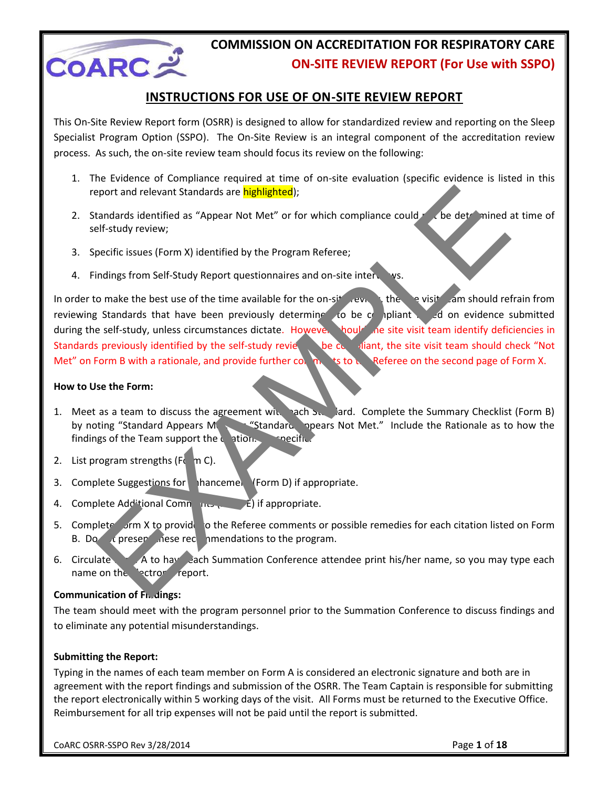

#### **INSTRUCTIONS FOR USE OF ON-SITE REVIEW REPORT**

This On-Site Review Report form (OSRR) is designed to allow for standardized review and reporting on the Sleep Specialist Program Option (SSPO). The On-Site Review is an integral component of the accreditation review process. As such, the on-site review team should focus its review on the following:

- 1. The Evidence of Compliance required at time of on-site evaluation (specific evidence is listed in this report and relevant Standards are highlighted);
- 2. Standards identified as "Appear Not Met" or for which compliance could  $r$  , be determined at time of self-study review;
- 3. Specific issues (Form X) identified by the Program Referee;
- 4. Findings from Self-Study Report questionnaires and on-site interviews.

In order to make the best use of the time available for the on-site review, the servisite cam should refrain from reviewing Standards that have been previously determine to be compliant and on evidence submitted during the self-study, unless circumstances dictate. However, hould the site visit team identify deficiencies in Standards previously identified by the self-study reviet to be  $\alpha$  aliant, the site visit team should check "Not Met" on Form B with a rationale, and provide further connet to the Referee on the second page of Form X. example the Record of Prioris and School of Reference Countrington and the set of the set of the set of the set of the set of the time available for the on-sit and solution of the set of the time available for the on-sit a

#### **How to Use the Form:**

- 1. Meet as a team to discuss the agreement with each Standard. Complete the Summary Checklist (Form B) by noting "Standard Appears Methors" "Standard Appears Not Met." Include the Rationale as to how the findings of the Team support the  $c$  ation. Becific
- 2. List program strengths ( $F_0$  m C).
- 3. Complete Suggestions for **Inhancement (Form D)** if appropriate.
- 4. Complete Add<sup>it</sup>ional Comments ( $\overrightarrow{E}$ ) if appropriate.
- 5. Complete form X to provide to the Referee comments or possible remedies for each citation listed on Form B. Do  $\alpha$  present these recommendations to the program.
- 6. Circulate Form A to have each Summation Conference attendee print his/her name, so you may type each name on the ectronic report.

#### **Communication of Fn. dings:**

The team should meet with the program personnel prior to the Summation Conference to discuss findings and to eliminate any potential misunderstandings.

#### **Submitting the Report:**

Typing in the names of each team member on Form A is considered an electronic signature and both are in agreement with the report findings and submission of the OSRR. The Team Captain is responsible for submitting the report electronically within 5 working days of the visit. All Forms must be returned to the Executive Office. Reimbursement for all trip expenses will not be paid until the report is submitted.

CoARC OSRR-SSPO Rev 3/28/2014 Page **1** of **18**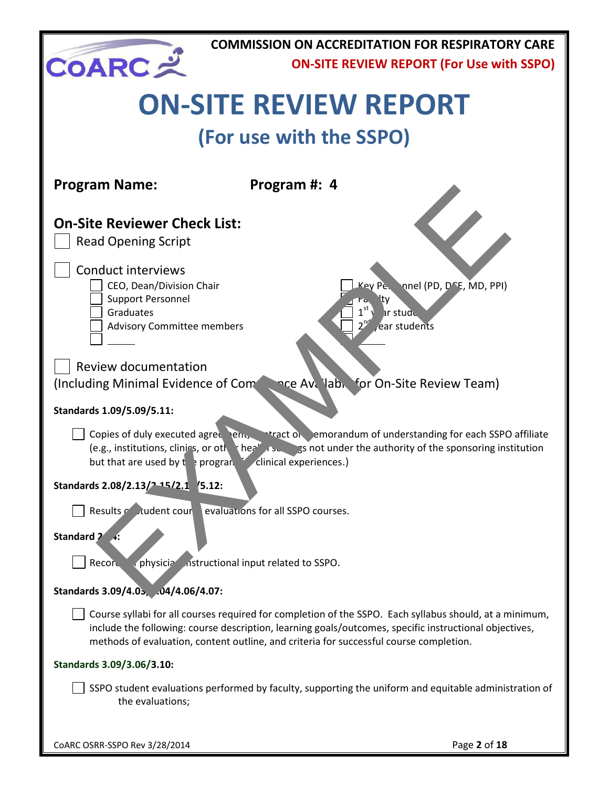

# **ON-SITE REVIEW REPORT**

## **(For use with the SSPO)**

| <b>Program Name:</b>                                                                                                                                               | Program #: 4                                                                                                                                                                                                                                                                                                |
|--------------------------------------------------------------------------------------------------------------------------------------------------------------------|-------------------------------------------------------------------------------------------------------------------------------------------------------------------------------------------------------------------------------------------------------------------------------------------------------------|
| <b>On-Site Reviewer Check List:</b><br><b>Read Opening Script</b>                                                                                                  |                                                                                                                                                                                                                                                                                                             |
| <b>Conduct interviews</b><br>CEO, Dean/Division Chair<br><b>Support Personnel</b><br>Graduates<br><b>Advisory Committee members</b><br><b>Review documentation</b> | Key Pe.<br>nnel (PD, DCE, MD, PPI)<br>ty<br>1 <sup>st</sup><br>ar stude<br>$2^{ng}$<br>ear students                                                                                                                                                                                                         |
| (Including Minimal Evidence of Com                                                                                                                                 | nce Avellabie for On-Site Review Team)                                                                                                                                                                                                                                                                      |
| Standards 1.09/5.09/5.11:                                                                                                                                          |                                                                                                                                                                                                                                                                                                             |
| Copies of duly executed agree en.<br>but that are used by $t \rightarrow$ progran                                                                                  | <b>Intraction</b> emorandum of understanding for each SSPO affiliate<br>(e.g., institutions, clinics, or oth thee set $\sim$ ss not under the authority of the sponsoring institution<br>clinical experiences.)                                                                                             |
| Standards 2.08/2.13/2.15/2.1 /5.12:                                                                                                                                |                                                                                                                                                                                                                                                                                                             |
| Results contracted to Results<br>Standard 2                                                                                                                        | evaluations for all SSPO courses.                                                                                                                                                                                                                                                                           |
| physicia instructional input related to SSPO.<br>Record                                                                                                            |                                                                                                                                                                                                                                                                                                             |
| Standards 3.09/4.05, .04/4.06/4.07:                                                                                                                                |                                                                                                                                                                                                                                                                                                             |
|                                                                                                                                                                    | Course syllabi for all courses required for completion of the SSPO. Each syllabus should, at a minimum,<br>include the following: course description, learning goals/outcomes, specific instructional objectives,<br>methods of evaluation, content outline, and criteria for successful course completion. |
| Standards 3.09/3.06/3.10:                                                                                                                                          |                                                                                                                                                                                                                                                                                                             |
| the evaluations;                                                                                                                                                   | SSPO student evaluations performed by faculty, supporting the uniform and equitable administration of                                                                                                                                                                                                       |
|                                                                                                                                                                    |                                                                                                                                                                                                                                                                                                             |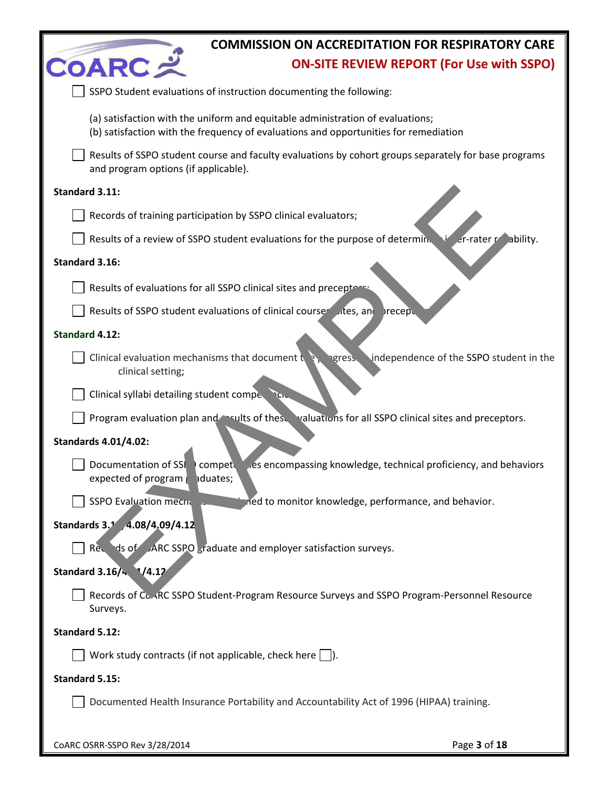|                                                                                                   | <b>COMMISSION ON ACCREDITATION FOR RESPIRATORY CARE</b>                                                                                                                |
|---------------------------------------------------------------------------------------------------|------------------------------------------------------------------------------------------------------------------------------------------------------------------------|
| <b>COARCメ</b>                                                                                     | <b>ON-SITE REVIEW REPORT (For Use with SSPO)</b>                                                                                                                       |
|                                                                                                   | SSPO Student evaluations of instruction documenting the following:                                                                                                     |
|                                                                                                   | (a) satisfaction with the uniform and equitable administration of evaluations;<br>(b) satisfaction with the frequency of evaluations and opportunities for remediation |
| and program options (if applicable).                                                              | Results of SSPO student course and faculty evaluations by cohort groups separately for base programs                                                                   |
| Standard 3.11:                                                                                    |                                                                                                                                                                        |
|                                                                                                   | Records of training participation by SSPO clinical evaluators;                                                                                                         |
|                                                                                                   | Results of a review of SSPO student evaluations for the purpose of determin.<br>$er$ -rater $r$ ability.                                                               |
| Standard 3.16:                                                                                    |                                                                                                                                                                        |
|                                                                                                   | Results of evaluations for all SSPO clinical sites and preceptors:                                                                                                     |
|                                                                                                   | Results of SSPO student evaluations of clinical courser sites, and<br>precep.                                                                                          |
| <b>Standard 4.12:</b>                                                                             |                                                                                                                                                                        |
| Clinical evaluation mechanisms that document to<br>clinical setting;                              | independence of the SSPO student in the<br>ngress.                                                                                                                     |
| Clinical syllabi detailing student comperencie                                                    |                                                                                                                                                                        |
|                                                                                                   | Program evaluation plan and evalts of these valuations for all SSPO clinical sites and preceptors.                                                                     |
| <b>Standards 4.01/4.02:</b><br>Documentation of SSI<br>expected of program $\frac{1}{2}$ aduates; | compet es encompassing knowledge, technical proficiency, and behaviors                                                                                                 |
| SSPO Evaluation mechanics                                                                         | ried to monitor knowledge, performance, and behavior.                                                                                                                  |
| Standards 3.1 4.08/4,09/4.12                                                                      | Records of ARC SSPO <sub>s</sub> raduate and employer satisfaction surveys.                                                                                            |
| Standard 3.16/4 1/4.12                                                                            |                                                                                                                                                                        |
| Surveys.                                                                                          | Records of Co.ARC SSPO Student-Program Resource Surveys and SSPO Program-Personnel Resource                                                                            |
| Standard 5.12:                                                                                    |                                                                                                                                                                        |
|                                                                                                   | Work study contracts (if not applicable, check here $  \quad  $ ).                                                                                                     |
| <b>Standard 5.15:</b>                                                                             |                                                                                                                                                                        |
|                                                                                                   | Documented Health Insurance Portability and Accountability Act of 1996 (HIPAA) training.                                                                               |
|                                                                                                   |                                                                                                                                                                        |

CoARC OSRR-SSPO Rev 3/28/2014 Page **3** of **18**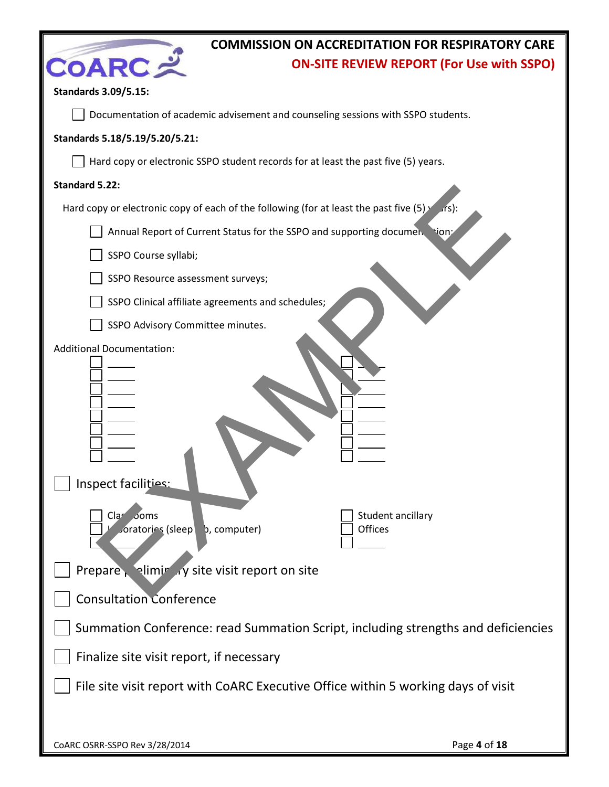| <b>COMMISSION ON ACCREDITATION FOR RESPIRATORY CARE</b>                                                                                                                                          |
|--------------------------------------------------------------------------------------------------------------------------------------------------------------------------------------------------|
| <b>COARC=</b><br><b>ON-SITE REVIEW REPORT (For Use with SSPO)</b>                                                                                                                                |
| <b>Standards 3.09/5.15:</b>                                                                                                                                                                      |
| Documentation of academic advisement and counseling sessions with SSPO students.                                                                                                                 |
| Standards 5.18/5.19/5.20/5.21:                                                                                                                                                                   |
| Hard copy or electronic SSPO student records for at least the past five (5) years.                                                                                                               |
| Standard 5.22:                                                                                                                                                                                   |
| Hard copy or electronic copy of each of the following (for at least the past five $(5)$ )<br>$\sqrt{rs}$ :                                                                                       |
| Annual Report of Current Status for the SSPO and supporting documen. tion:                                                                                                                       |
| SSPO Course syllabi;                                                                                                                                                                             |
| SSPO Resource assessment surveys;                                                                                                                                                                |
| SSPO Clinical affiliate agreements and schedules;                                                                                                                                                |
| SSPO Advisory Committee minutes.                                                                                                                                                                 |
| <b>Additional Documentation:</b><br>Inspect facilities:<br>Student ancillary<br>Clar Joms<br>Joratories (sleep<br><b>Offices</b><br>b, computer)<br>Prepare, eliminary site visit report on site |
| <b>Consultation Conference</b>                                                                                                                                                                   |
| Summation Conference: read Summation Script, including strengths and deficiencies                                                                                                                |
| Finalize site visit report, if necessary                                                                                                                                                         |
| File site visit report with CoARC Executive Office within 5 working days of visit                                                                                                                |
| Page 4 of 18<br>CoARC OSRR-SSPO Rev 3/28/2014                                                                                                                                                    |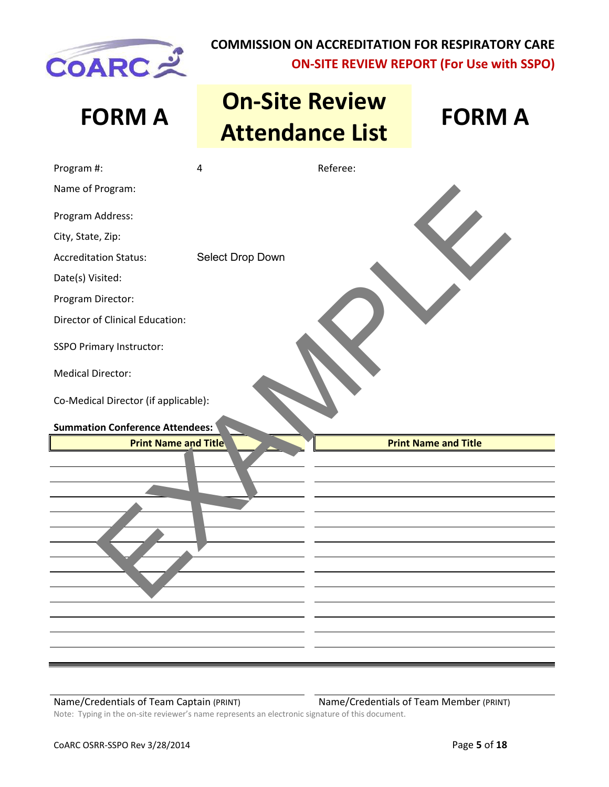

# **FORM A On-Site Review Attendance List FORM A**



| Program #:                                                                                                           | $\overline{4}$   | Referee: |                             |
|----------------------------------------------------------------------------------------------------------------------|------------------|----------|-----------------------------|
| Name of Program:                                                                                                     |                  |          |                             |
| Program Address:                                                                                                     |                  |          |                             |
| City, State, Zip:                                                                                                    |                  |          |                             |
| <b>Accreditation Status:</b>                                                                                         | Select Drop Down |          |                             |
| Date(s) Visited:                                                                                                     |                  |          |                             |
| Program Director:                                                                                                    |                  |          |                             |
| Director of Clinical Education:                                                                                      |                  |          |                             |
| <b>SSPO Primary Instructor:</b>                                                                                      |                  |          |                             |
| <b>Medical Director:</b>                                                                                             |                  |          |                             |
| Co-Medical Director (if applicable):<br><b>Summation Conference Attendees:</b>                                       |                  |          |                             |
| <b>Print Name and Title</b>                                                                                          |                  |          | <b>Print Name and Title</b> |
|                                                                                                                      |                  |          |                             |
|                                                                                                                      |                  |          |                             |
|                                                                                                                      |                  |          |                             |
|                                                                                                                      |                  |          |                             |
|                                                                                                                      |                  |          |                             |
|                                                                                                                      |                  |          |                             |
| <u> 1980 - Andrea Santa Andrea Santa Andrea Santa Andrea Santa Andrea Santa Andrea Santa Andrea Santa Andrea San</u> |                  |          |                             |

Name/Credentials of Team Captain (PRINT) Name/Credentials of Team Member (PRINT)

Note: Typing in the on-site reviewer's name represents an electronic signature of this document.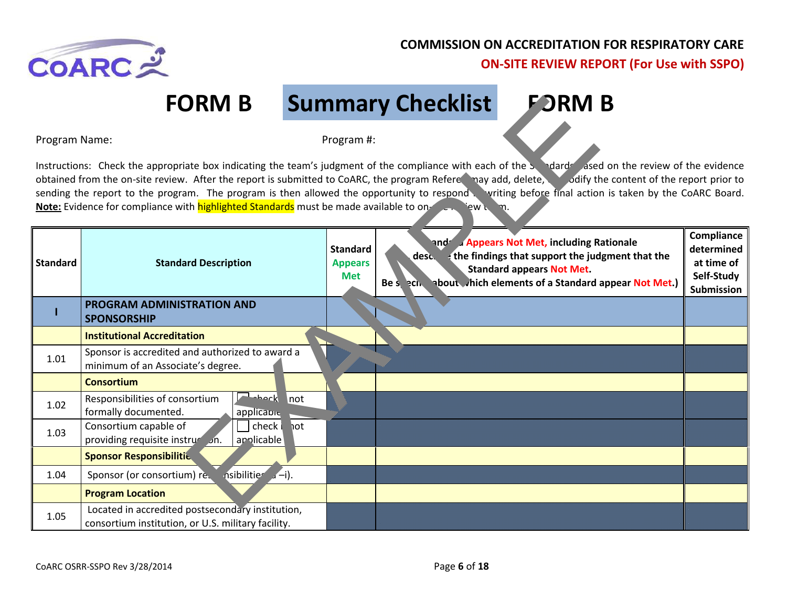

# **FORM B Summary Checklist FORM B**

|                                                                                                                                                                                                                                                                                                                                                                                                                                                                                                                                                                 | <b>FORM B</b>                                                                                          |                                                 | <b>Summary Checklist</b> | <b>FORM B</b>                                                                                                                                                                          |                                                                    |
|-----------------------------------------------------------------------------------------------------------------------------------------------------------------------------------------------------------------------------------------------------------------------------------------------------------------------------------------------------------------------------------------------------------------------------------------------------------------------------------------------------------------------------------------------------------------|--------------------------------------------------------------------------------------------------------|-------------------------------------------------|--------------------------|----------------------------------------------------------------------------------------------------------------------------------------------------------------------------------------|--------------------------------------------------------------------|
| Program Name:                                                                                                                                                                                                                                                                                                                                                                                                                                                                                                                                                   |                                                                                                        | Program #:                                      |                          |                                                                                                                                                                                        |                                                                    |
| Instructions: Check the appropriate box indicating the team's judgment of the compliance with each of the Sandada ased on the review of the evidence<br>obtained from the on-site review. After the report is submitted to CoARC, the program Refere may add, delete, odlify the content of the report prior to<br>sending the report to the program. The program is then allowed the opportunity to respond writing before final action is taken by the CoARC Board.<br>Note: Evidence for compliance with highlighted Standards must be made available to on- |                                                                                                        |                                                 |                          |                                                                                                                                                                                        |                                                                    |
| <b>Standard</b>                                                                                                                                                                                                                                                                                                                                                                                                                                                                                                                                                 | <b>Standard Description</b>                                                                            | <b>Standard</b><br><b>Appears</b><br><b>Met</b> | desc.<br>Be special      | and Appears Not Met, including Rationale<br>the findings that support the judgment that the<br><b>Standard appears Not Met.</b><br>about which elements of a Standard appear Not Met.) | Compliance<br>determined<br>at time of<br>Self-Study<br>Submission |
|                                                                                                                                                                                                                                                                                                                                                                                                                                                                                                                                                                 | PROGRAM ADMINISTRATION AND<br><b>SPONSORSHIP</b>                                                       |                                                 |                          |                                                                                                                                                                                        |                                                                    |
|                                                                                                                                                                                                                                                                                                                                                                                                                                                                                                                                                                 | <b>Institutional Accreditation</b>                                                                     |                                                 |                          |                                                                                                                                                                                        |                                                                    |
| 1.01                                                                                                                                                                                                                                                                                                                                                                                                                                                                                                                                                            | Sponsor is accredited and authorized to award a<br>minimum of an Associate's degree.                   |                                                 |                          |                                                                                                                                                                                        |                                                                    |
|                                                                                                                                                                                                                                                                                                                                                                                                                                                                                                                                                                 | <b>Consortium</b>                                                                                      |                                                 |                          |                                                                                                                                                                                        |                                                                    |
| 1.02                                                                                                                                                                                                                                                                                                                                                                                                                                                                                                                                                            | <b>Report</b> not<br>Responsibilities of consortium<br>formally documented.<br>applicable              |                                                 |                          |                                                                                                                                                                                        |                                                                    |
| 1.03                                                                                                                                                                                                                                                                                                                                                                                                                                                                                                                                                            | Consortium capable of<br>check in ot<br>providing requisite instruction.<br>applicable                 |                                                 |                          |                                                                                                                                                                                        |                                                                    |
|                                                                                                                                                                                                                                                                                                                                                                                                                                                                                                                                                                 | <b>Sponsor Responsibilitie</b>                                                                         |                                                 |                          |                                                                                                                                                                                        |                                                                    |
| 1.04                                                                                                                                                                                                                                                                                                                                                                                                                                                                                                                                                            | nsibilities <sup>®</sup><br>$\sqrt{-i}$ .<br>Sponsor (or consortium) re.                               |                                                 |                          |                                                                                                                                                                                        |                                                                    |
|                                                                                                                                                                                                                                                                                                                                                                                                                                                                                                                                                                 | <b>Program Location</b>                                                                                |                                                 |                          |                                                                                                                                                                                        |                                                                    |
| 1.05                                                                                                                                                                                                                                                                                                                                                                                                                                                                                                                                                            | Located in accredited postsecondary institution,<br>consortium institution, or U.S. military facility. |                                                 |                          |                                                                                                                                                                                        |                                                                    |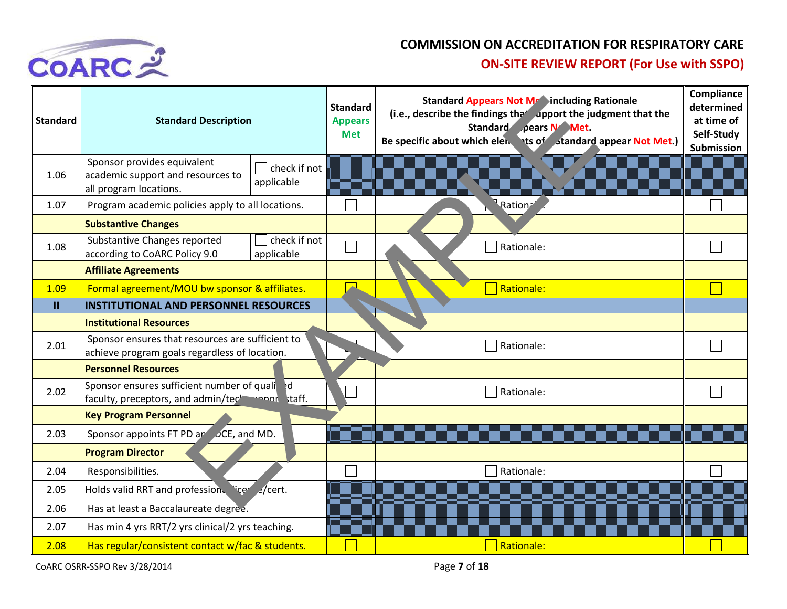

| <b>Standard</b> | <b>Standard Description</b>                                                                       |                            | <b>Standard</b><br><b>Appears</b><br><b>Met</b> | <b>Standard Appears Not Mraincluding Rationale</b><br>(i.e., describe the findings the <i>dpport</i> the judgment that the<br>Standard pears N Met.<br>Be specific about which elen ts of standard appear Not Met.) | Compliance<br>determined<br>at time of<br>Self-Study<br><b>Submission</b> |
|-----------------|---------------------------------------------------------------------------------------------------|----------------------------|-------------------------------------------------|---------------------------------------------------------------------------------------------------------------------------------------------------------------------------------------------------------------------|---------------------------------------------------------------------------|
| 1.06            | Sponsor provides equivalent<br>academic support and resources to<br>all program locations.        | check if not<br>applicable |                                                 |                                                                                                                                                                                                                     |                                                                           |
| 1.07            | Program academic policies apply to all locations.                                                 |                            |                                                 | Ration <sup>2</sup>                                                                                                                                                                                                 |                                                                           |
|                 | <b>Substantive Changes</b>                                                                        |                            |                                                 |                                                                                                                                                                                                                     |                                                                           |
| 1.08            | Substantive Changes reported<br>according to CoARC Policy 9.0                                     | check if not<br>applicable |                                                 | Rationale:                                                                                                                                                                                                          |                                                                           |
|                 | <b>Affiliate Agreements</b>                                                                       |                            |                                                 |                                                                                                                                                                                                                     |                                                                           |
| 1.09            | Formal agreement/MOU bw sponsor & affiliates.                                                     |                            |                                                 | Rationale:                                                                                                                                                                                                          |                                                                           |
| $\mathbf{H}$    | <b>INSTITUTIONAL AND PERSONNEL RESOURCES</b>                                                      |                            |                                                 |                                                                                                                                                                                                                     |                                                                           |
|                 | <b>Institutional Resources</b>                                                                    |                            |                                                 |                                                                                                                                                                                                                     |                                                                           |
| 2.01            | Sponsor ensures that resources are sufficient to<br>achieve program goals regardless of location. |                            |                                                 | Rationale:                                                                                                                                                                                                          |                                                                           |
|                 | <b>Personnel Resources</b>                                                                        |                            |                                                 |                                                                                                                                                                                                                     |                                                                           |
| 2.02            | Sponsor ensures sufficient number of qualierd<br>faculty, preceptors, and admin/teck manor staff. |                            |                                                 | Rationale:                                                                                                                                                                                                          |                                                                           |
|                 | <b>Key Program Personnel</b>                                                                      |                            |                                                 |                                                                                                                                                                                                                     |                                                                           |
| 2.03            | Sponsor appoints FT PD and DCE, and MD.                                                           |                            |                                                 |                                                                                                                                                                                                                     |                                                                           |
|                 | <b>Program Director</b>                                                                           |                            |                                                 |                                                                                                                                                                                                                     |                                                                           |
| 2.04            | Responsibilities.                                                                                 |                            |                                                 | Rationale:                                                                                                                                                                                                          |                                                                           |
| 2.05            | Holds valid RRT and profession. "ice                                                              | $2$ /cert.                 |                                                 |                                                                                                                                                                                                                     |                                                                           |
| 2.06            | Has at least a Baccalaureate degree.                                                              |                            |                                                 |                                                                                                                                                                                                                     |                                                                           |
| 2.07            | Has min 4 yrs RRT/2 yrs clinical/2 yrs teaching.                                                  |                            |                                                 |                                                                                                                                                                                                                     |                                                                           |
| 2.08            | Has regular/consistent contact w/fac & students.                                                  |                            |                                                 | <b>Rationale:</b>                                                                                                                                                                                                   |                                                                           |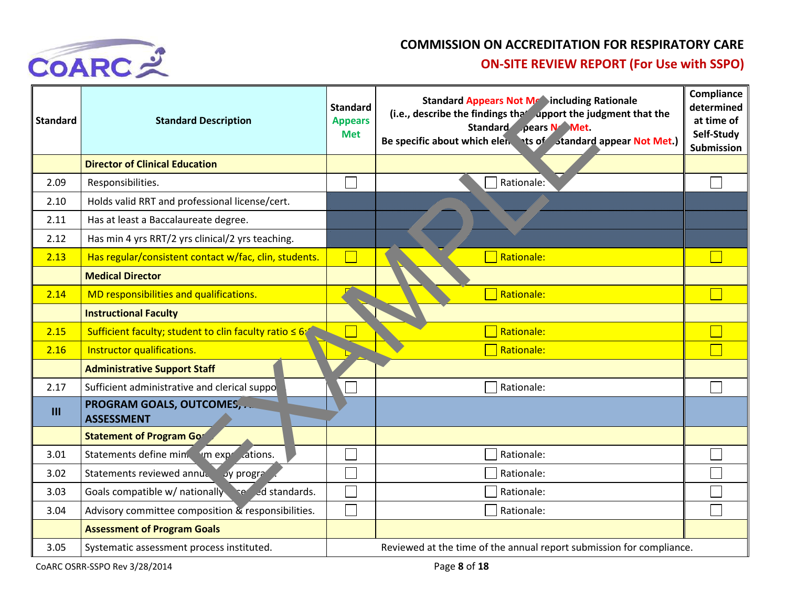

| <b>Standard</b> | <b>Standard Description</b>                            | <b>Standard</b><br><b>Appears</b><br><b>Met</b> | <b>Standard Appears Not Me Sincluding Rationale</b><br>(i.e., describe the findings that upport the judgment that the<br>Standard pears N Met.<br>Be specific about which elen ts of standard appear Not Met.) | Compliance<br>determined<br>at time of<br>Self-Study<br><b>Submission</b> |
|-----------------|--------------------------------------------------------|-------------------------------------------------|----------------------------------------------------------------------------------------------------------------------------------------------------------------------------------------------------------------|---------------------------------------------------------------------------|
|                 | <b>Director of Clinical Education</b>                  |                                                 |                                                                                                                                                                                                                |                                                                           |
| 2.09            | Responsibilities.                                      |                                                 | Rationale:                                                                                                                                                                                                     |                                                                           |
| 2.10            | Holds valid RRT and professional license/cert.         |                                                 |                                                                                                                                                                                                                |                                                                           |
| 2.11            | Has at least a Baccalaureate degree.                   |                                                 |                                                                                                                                                                                                                |                                                                           |
| 2.12            | Has min 4 yrs RRT/2 yrs clinical/2 yrs teaching.       |                                                 |                                                                                                                                                                                                                |                                                                           |
| 2.13            | Has regular/consistent contact w/fac, clin, students.  |                                                 | Rationale:                                                                                                                                                                                                     |                                                                           |
|                 | <b>Medical Director</b>                                |                                                 |                                                                                                                                                                                                                |                                                                           |
| 2.14            | MD responsibilities and qualifications.                |                                                 | Rationale:                                                                                                                                                                                                     |                                                                           |
|                 | <b>Instructional Faculty</b>                           |                                                 |                                                                                                                                                                                                                |                                                                           |
| 2.15            | Sufficient faculty; student to clin faculty ratio ≤ 6; |                                                 | Rationale:                                                                                                                                                                                                     |                                                                           |
| 2.16            | Instructor qualifications.                             |                                                 | Rationale:                                                                                                                                                                                                     |                                                                           |
|                 | <b>Administrative Support Staff</b>                    |                                                 |                                                                                                                                                                                                                |                                                                           |
| 2.17            | Sufficient administrative and clerical suppo           |                                                 | Rationale:                                                                                                                                                                                                     |                                                                           |
| $\mathbf{III}$  | PROGRAM GOALS, OUTCOMES,<br><b>ASSESSMENT</b>          |                                                 |                                                                                                                                                                                                                |                                                                           |
|                 | <b>Statement of Program Gor</b>                        |                                                 |                                                                                                                                                                                                                |                                                                           |
| 3.01            | Statements define min. I'm expressions.                |                                                 | Rationale:                                                                                                                                                                                                     |                                                                           |
| 3.02            | Statements reviewed annually by progra                 |                                                 | Rationale:                                                                                                                                                                                                     |                                                                           |
| 3.03            | Goals compatible w/ nationally sensed standards.       |                                                 | Rationale:                                                                                                                                                                                                     |                                                                           |
| 3.04            | Advisory committee composition & responsibilities.     |                                                 | Rationale:                                                                                                                                                                                                     |                                                                           |
|                 | <b>Assessment of Program Goals</b>                     |                                                 |                                                                                                                                                                                                                |                                                                           |
| 3.05            | Systematic assessment process instituted.              |                                                 | Reviewed at the time of the annual report submission for compliance.                                                                                                                                           |                                                                           |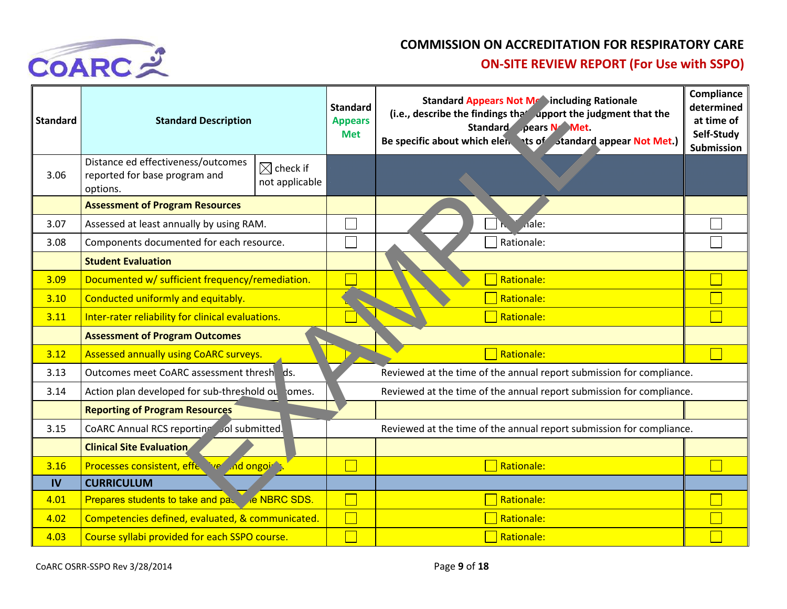

| <b>Standard</b> | <b>Standard Description</b>                                                     |                                        | <b>Standard</b><br><b>Appears</b><br><b>Met</b>                      | <b>Standard Appears Not Metaincluding Rationale</b><br>(i.e., describe the findings that apport the judgment that the<br>Standard pears N Met.<br>Be specific about which elen ts of standard appear Not Met.) | Compliance<br>determined<br>at time of<br>Self-Study<br>Submission |
|-----------------|---------------------------------------------------------------------------------|----------------------------------------|----------------------------------------------------------------------|----------------------------------------------------------------------------------------------------------------------------------------------------------------------------------------------------------------|--------------------------------------------------------------------|
| 3.06            | Distance ed effectiveness/outcomes<br>reported for base program and<br>options. | $\boxtimes$ check if<br>not applicable |                                                                      |                                                                                                                                                                                                                |                                                                    |
|                 | <b>Assessment of Program Resources</b>                                          |                                        |                                                                      |                                                                                                                                                                                                                |                                                                    |
| 3.07            | Assessed at least annually by using RAM.                                        |                                        |                                                                      | nale:                                                                                                                                                                                                          |                                                                    |
| 3.08            | Components documented for each resource.                                        |                                        |                                                                      | Rationale:                                                                                                                                                                                                     |                                                                    |
|                 | <b>Student Evaluation</b>                                                       |                                        |                                                                      |                                                                                                                                                                                                                |                                                                    |
| 3.09            | Documented w/ sufficient frequency/remediation.                                 |                                        |                                                                      | Rationale:                                                                                                                                                                                                     |                                                                    |
| 3.10            | Conducted uniformly and equitably.                                              |                                        |                                                                      | Rationale:                                                                                                                                                                                                     |                                                                    |
| 3.11            | Inter-rater reliability for clinical evaluations.                               |                                        |                                                                      | Rationale:                                                                                                                                                                                                     |                                                                    |
|                 | <b>Assessment of Program Outcomes</b>                                           |                                        |                                                                      |                                                                                                                                                                                                                |                                                                    |
| 3.12            | Assessed annually using CoARC surveys.                                          |                                        |                                                                      | Rationale:                                                                                                                                                                                                     |                                                                    |
| 3.13            | Outcomes meet CoARC assessment thresh ds.                                       |                                        |                                                                      | Reviewed at the time of the annual report submission for compliance.                                                                                                                                           |                                                                    |
| 3.14            | Action plan developed for sub-threshold ou omes.                                |                                        |                                                                      | Reviewed at the time of the annual report submission for compliance.                                                                                                                                           |                                                                    |
|                 | <b>Reporting of Program Resources</b>                                           |                                        |                                                                      |                                                                                                                                                                                                                |                                                                    |
| 3.15            | CoARC Annual RCS reporting Jol submitted.                                       |                                        | Reviewed at the time of the annual report submission for compliance. |                                                                                                                                                                                                                |                                                                    |
|                 | <b>Clinical Site Evaluation</b>                                                 |                                        |                                                                      |                                                                                                                                                                                                                |                                                                    |
| 3.16            | <b>Processes consistent, effective and ongointly</b>                            |                                        |                                                                      | Rationale:                                                                                                                                                                                                     |                                                                    |
| <b>IV</b>       | <b>CURRICULUM</b>                                                               |                                        |                                                                      |                                                                                                                                                                                                                |                                                                    |
| 4.01            | Prepares students to take and pa. e NBRC SDS.                                   |                                        |                                                                      | Rationale:                                                                                                                                                                                                     |                                                                    |
| 4.02            | Competencies defined, evaluated, & communicated.                                |                                        |                                                                      | Rationale:                                                                                                                                                                                                     |                                                                    |
| 4.03            | Course syllabi provided for each SSPO course.                                   |                                        |                                                                      | Rationale:                                                                                                                                                                                                     |                                                                    |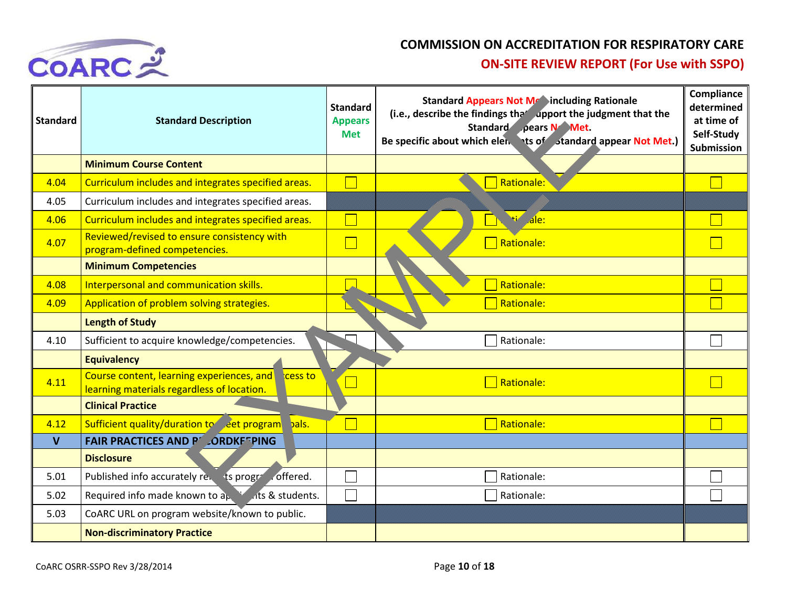

| <b>Standard</b> | <b>Standard Description</b>                                                                     | <b>Standard</b><br><b>Appears</b><br><b>Met</b> | <b>Standard Appears Not Mraincluding Rationale</b><br>(i.e., describe the findings the <i>dpport</i> the judgment that the<br>Standard pears N Met.<br>Be specific about which elen ts of standard appear Not Met.) | Compliance<br>determined<br>at time of<br>Self-Study<br>Submission |
|-----------------|-------------------------------------------------------------------------------------------------|-------------------------------------------------|---------------------------------------------------------------------------------------------------------------------------------------------------------------------------------------------------------------------|--------------------------------------------------------------------|
|                 | <b>Minimum Course Content</b>                                                                   |                                                 |                                                                                                                                                                                                                     |                                                                    |
| 4.04            | Curriculum includes and integrates specified areas.                                             |                                                 | <b>Rationale:</b>                                                                                                                                                                                                   |                                                                    |
| 4.05            | Curriculum includes and integrates specified areas.                                             |                                                 |                                                                                                                                                                                                                     |                                                                    |
| 4.06            | Curriculum includes and integrates specified areas.                                             |                                                 | <b>Hi</b> ale:                                                                                                                                                                                                      |                                                                    |
| 4.07            | Reviewed/revised to ensure consistency with<br>program-defined competencies.                    |                                                 | Rationale:                                                                                                                                                                                                          |                                                                    |
|                 | <b>Minimum Competencies</b>                                                                     |                                                 |                                                                                                                                                                                                                     |                                                                    |
| 4.08            | Interpersonal and communication skills.                                                         |                                                 | <b>Rationale:</b>                                                                                                                                                                                                   |                                                                    |
| 4.09            | Application of problem solving strategies.                                                      |                                                 | <b>Rationale:</b>                                                                                                                                                                                                   |                                                                    |
|                 | <b>Length of Study</b>                                                                          |                                                 |                                                                                                                                                                                                                     |                                                                    |
| 4.10            | Sufficient to acquire knowledge/competencies.                                                   |                                                 | Rationale:                                                                                                                                                                                                          |                                                                    |
|                 | <b>Equivalency</b>                                                                              |                                                 |                                                                                                                                                                                                                     |                                                                    |
| 4.11            | Course content, learning experiences, and cess to<br>learning materials regardless of location. |                                                 | Rationale:                                                                                                                                                                                                          |                                                                    |
|                 | <b>Clinical Practice</b>                                                                        |                                                 |                                                                                                                                                                                                                     |                                                                    |
| 4.12            | Sufficient quality/duration to eet program<br>bals.                                             |                                                 | Rationale:                                                                                                                                                                                                          |                                                                    |
| $\mathbf{V}$    | <b>FAIR PRACTICES AND PLORDKETPING</b>                                                          |                                                 |                                                                                                                                                                                                                     |                                                                    |
|                 | <b>Disclosure</b>                                                                               |                                                 |                                                                                                                                                                                                                     |                                                                    |
| 5.01            | Published info accurately re. ts progree offered.                                               |                                                 | Rationale:                                                                                                                                                                                                          |                                                                    |
| 5.02            | Required info made known to $a_k$ is not at students.                                           |                                                 | Rationale:                                                                                                                                                                                                          |                                                                    |
| 5.03            | CoARC URL on program website/known to public.                                                   |                                                 |                                                                                                                                                                                                                     |                                                                    |
|                 | <b>Non-discriminatory Practice</b>                                                              |                                                 |                                                                                                                                                                                                                     |                                                                    |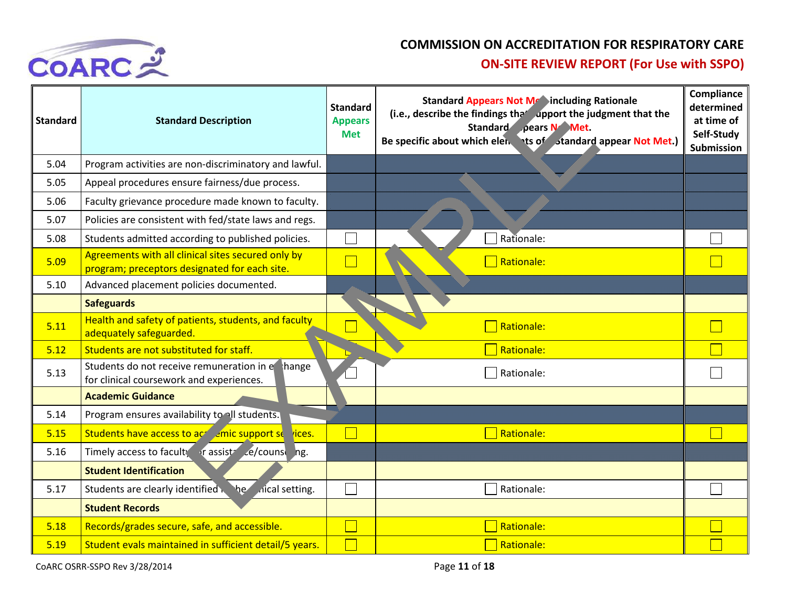

| <b>Standard</b> | <b>Standard Description</b>                                                                         | <b>Standard</b><br><b>Appears</b><br><b>Met</b> | <b>Standard Appears Not Me Sincluding Rationale</b><br>(i.e., describe the findings that upport the judgment that the<br>Standard pears N Met.<br>Be specific about which elen ts of standard appear Not Met.) | <b>Compliance</b><br>determined<br>at time of<br>Self-Study<br><b>Submission</b> |
|-----------------|-----------------------------------------------------------------------------------------------------|-------------------------------------------------|----------------------------------------------------------------------------------------------------------------------------------------------------------------------------------------------------------------|----------------------------------------------------------------------------------|
| 5.04            | Program activities are non-discriminatory and lawful.                                               |                                                 |                                                                                                                                                                                                                |                                                                                  |
| 5.05            | Appeal procedures ensure fairness/due process.                                                      |                                                 |                                                                                                                                                                                                                |                                                                                  |
| 5.06            | Faculty grievance procedure made known to faculty.                                                  |                                                 |                                                                                                                                                                                                                |                                                                                  |
| 5.07            | Policies are consistent with fed/state laws and regs.                                               |                                                 |                                                                                                                                                                                                                |                                                                                  |
| 5.08            | Students admitted according to published policies.                                                  |                                                 | Rationale:                                                                                                                                                                                                     |                                                                                  |
| 5.09            | Agreements with all clinical sites secured only by<br>program; preceptors designated for each site. |                                                 | Rationale:                                                                                                                                                                                                     |                                                                                  |
| 5.10            | Advanced placement policies documented.                                                             |                                                 |                                                                                                                                                                                                                |                                                                                  |
|                 | <b>Safeguards</b>                                                                                   |                                                 |                                                                                                                                                                                                                |                                                                                  |
| 5.11            | Health and safety of patients, students, and faculty<br>adequately safeguarded.                     |                                                 | Rationale:                                                                                                                                                                                                     |                                                                                  |
| 5.12            | Students are not substituted for staff.                                                             |                                                 | Rationale:                                                                                                                                                                                                     |                                                                                  |
| 5.13            | Students do not receive remuneration in ethange<br>for clinical coursework and experiences.         |                                                 | Rationale:                                                                                                                                                                                                     |                                                                                  |
|                 | <b>Academic Guidance</b>                                                                            |                                                 |                                                                                                                                                                                                                |                                                                                  |
| 5.14            | Program ensures availability to all students.                                                       |                                                 |                                                                                                                                                                                                                |                                                                                  |
| 5.15            | students have access to accept emic support se rices.                                               |                                                 | Rationale:                                                                                                                                                                                                     |                                                                                  |
| 5.16            | Timely access to faculty in assist e/counse hg.                                                     |                                                 |                                                                                                                                                                                                                |                                                                                  |
|                 | <b>Student Identification</b>                                                                       |                                                 |                                                                                                                                                                                                                |                                                                                  |
| 5.17            | Students are clearly identified<br><i>d</i> ical setting.                                           |                                                 | Rationale:                                                                                                                                                                                                     |                                                                                  |
|                 | <b>Student Records</b>                                                                              |                                                 |                                                                                                                                                                                                                |                                                                                  |
| 5.18            | Records/grades secure, safe, and accessible.                                                        |                                                 | Rationale:                                                                                                                                                                                                     |                                                                                  |
| 5.19            | Student evals maintained in sufficient detail/5 years.                                              |                                                 | Rationale:                                                                                                                                                                                                     |                                                                                  |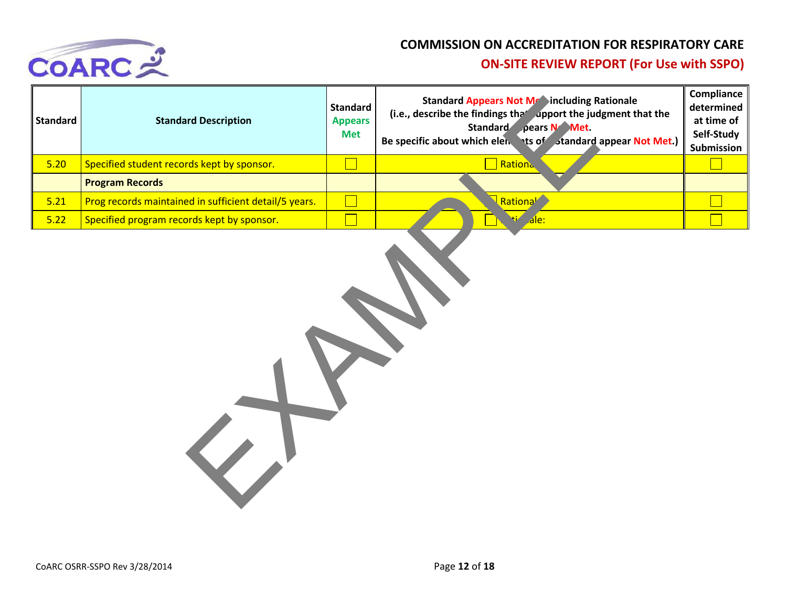

| <b>Standard</b> | <b>Standard Description</b>                           | <b>Standard</b><br><b>Appears</b><br><b>Met</b>                                                                       | <b>Standard Appears Not Metaincluding Rationale</b><br>(i.e., describe the findings that upport the judgment that the<br>Standard pears N Met.<br>Be specific about which elen ts of standard appear Not Met.) | Compliance<br>determined<br>at time of<br>Self-Study<br>Submission |
|-----------------|-------------------------------------------------------|-----------------------------------------------------------------------------------------------------------------------|----------------------------------------------------------------------------------------------------------------------------------------------------------------------------------------------------------------|--------------------------------------------------------------------|
| 5.20            | Specified student records kept by sponsor.            |                                                                                                                       | Rationa                                                                                                                                                                                                        |                                                                    |
|                 | <b>Program Records</b>                                |                                                                                                                       |                                                                                                                                                                                                                |                                                                    |
| 5.21            | Prog records maintained in sufficient detail/5 years. | <b>Contract Contract Contract Contract Contract Contract Contract Contract Contract Contract Contract Contract Co</b> | Rational                                                                                                                                                                                                       |                                                                    |
| 5.22            | Specified program records kept by sponsor.            |                                                                                                                       | ti de:                                                                                                                                                                                                         |                                                                    |
|                 | $\overline{\mathbf{v}}$                               |                                                                                                                       |                                                                                                                                                                                                                |                                                                    |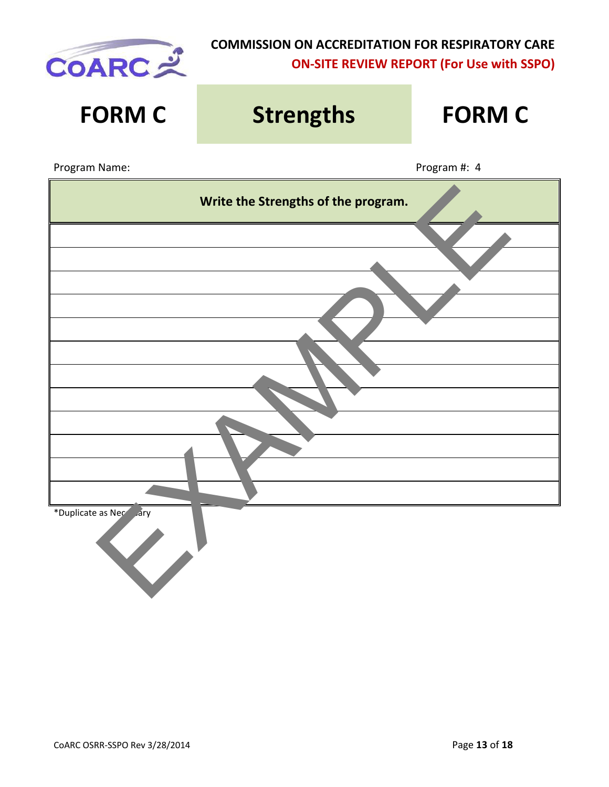

| <b>FORM C</b>           | <b>Strengths</b>                    |              |  |  |  |  |
|-------------------------|-------------------------------------|--------------|--|--|--|--|
| Program Name:           |                                     | Program #: 4 |  |  |  |  |
|                         | Write the Strengths of the program. |              |  |  |  |  |
|                         |                                     |              |  |  |  |  |
|                         |                                     |              |  |  |  |  |
|                         |                                     |              |  |  |  |  |
|                         |                                     |              |  |  |  |  |
|                         |                                     |              |  |  |  |  |
|                         |                                     |              |  |  |  |  |
|                         |                                     |              |  |  |  |  |
| *Duplicate as Necessary |                                     |              |  |  |  |  |
|                         |                                     |              |  |  |  |  |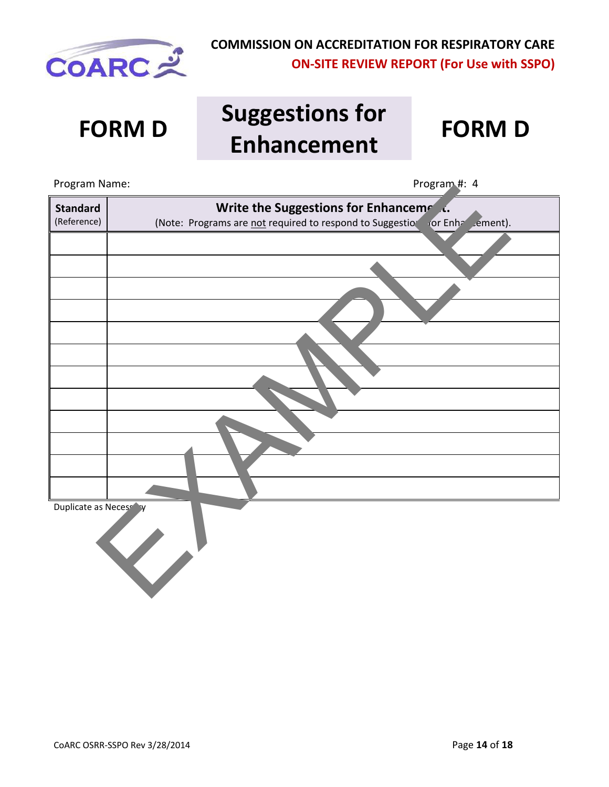

# **FORM D Suggestions for Enhancement FORM D**

Program Name:  $\blacksquare$  Program #: 4 **Standard** (Reference) **Write the Suggestions for Enhancement.** (Note: Programs are not required to respond to Suggestions for Enhancement). Duplicate as Necessary Nation Control Control Control Control Control Control Control Control Control Control Control Control Control Control Control Control Control Control Control Control Control Control Control Control Control Control Control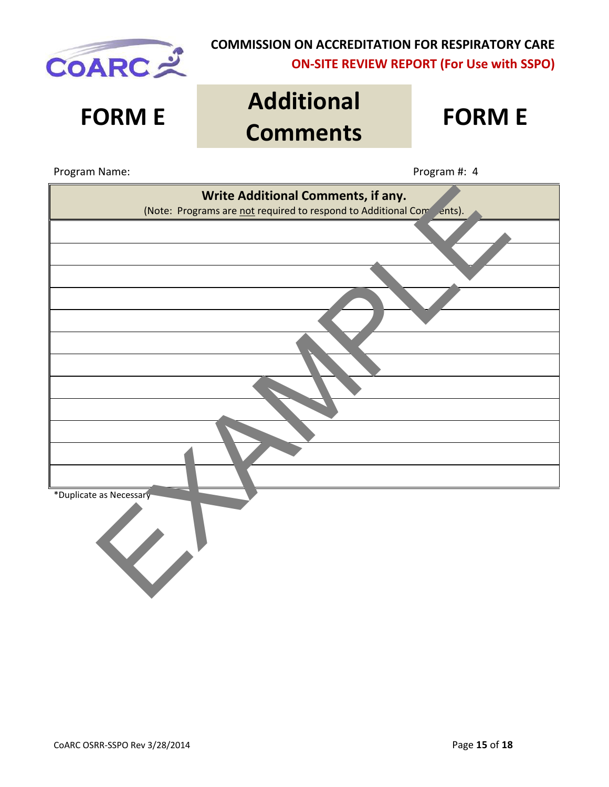

# **FORM E Additional Comments FORM E**

Program Name:  $\blacksquare$  Program #: 4

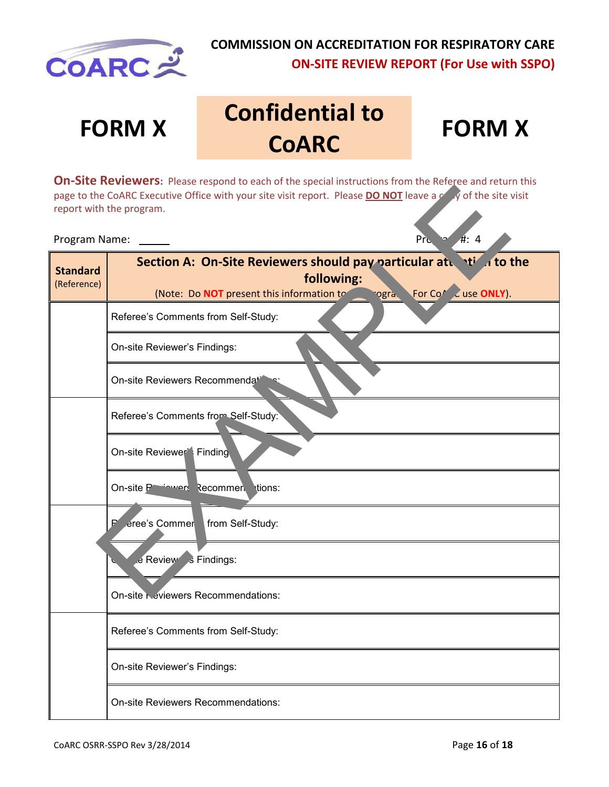

# **FORM X Confidential to COARC**

# **FORM X**

**On-Site Reviewers:** Please respond to each of the special instructions from the Referee and return this page to the CoARC Executive Office with your site visit report. Please **DO NOT** leave a copy of the site visit report with the program.

|                                | page to the CoARC Executive Office with your site visit report. Please <b>DO NOT</b> leave a count of the site visit<br>report with the program.                           |
|--------------------------------|----------------------------------------------------------------------------------------------------------------------------------------------------------------------------|
| Program Name:                  | #: 4<br><b>Pru</b>                                                                                                                                                         |
| <b>Standard</b><br>(Reference) | Section A: On-Site Reviewers should pay particular at the sto the<br>following:<br>For Co <sup>p</sup> & use ONLY).<br>(Note: Do NOT present this information to<br>ogra l |
|                                | Referee's Comments from Self-Study:                                                                                                                                        |
|                                | On-site Reviewer's Findings:                                                                                                                                               |
|                                | On-site Reviewers Recommendati                                                                                                                                             |
|                                | Referee's Comments from Self-Study:                                                                                                                                        |
|                                | On-site Reviewer <sup>*</sup> Finding                                                                                                                                      |
|                                | On-site Partenance Recommen tions:                                                                                                                                         |
|                                | eree's Commer<br>₽<br>from Self-Study:                                                                                                                                     |
|                                | e Review s Findings:                                                                                                                                                       |
|                                | On-site <b>Neviewers</b> Recommendations:                                                                                                                                  |
|                                | Referee's Comments from Self-Study:                                                                                                                                        |
|                                | On-site Reviewer's Findings:                                                                                                                                               |

On-site Reviewers Recommendations: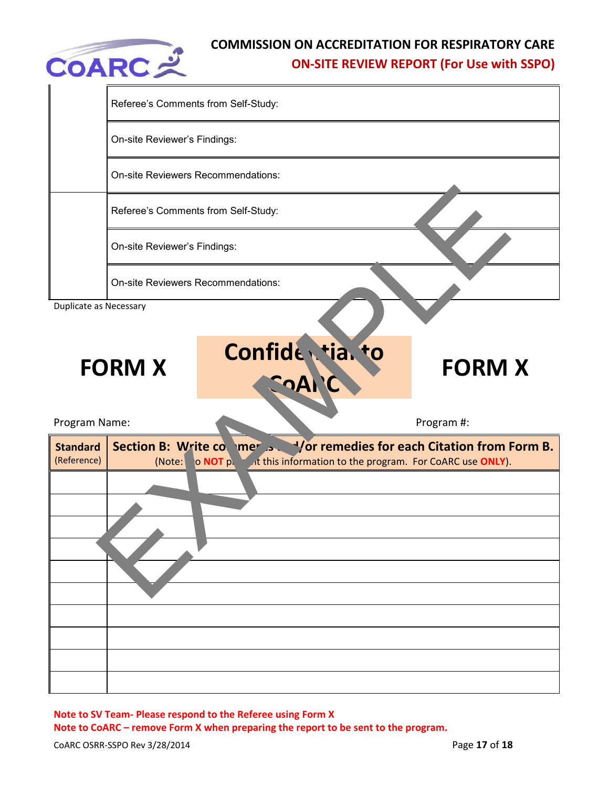

|                                | Referee's Comments from Self-Study:                                                                                                                   |               |
|--------------------------------|-------------------------------------------------------------------------------------------------------------------------------------------------------|---------------|
|                                | On-site Reviewer's Findings:                                                                                                                          |               |
|                                | On-site Reviewers Recommendations:                                                                                                                    |               |
|                                | Referee's Comments from Self-Study:                                                                                                                   |               |
|                                | On-site Reviewer's Findings:                                                                                                                          |               |
|                                | <b>On-site Reviewers Recommendations:</b>                                                                                                             |               |
| Duplicate as Necessary         |                                                                                                                                                       |               |
|                                | Confide tia. to<br><b>FORM X</b><br><b>SoA</b>                                                                                                        | <b>FORM X</b> |
| Program Name:                  |                                                                                                                                                       | Program #:    |
| <b>Standard</b><br>(Reference) | Section B: Write co. mer  Yor remedies for each Citation from Form B.<br>o NOT put it this information to the program. For CoARC use ONLY).<br>(Note: |               |
|                                |                                                                                                                                                       |               |
|                                |                                                                                                                                                       |               |
|                                |                                                                                                                                                       |               |
|                                |                                                                                                                                                       |               |
|                                |                                                                                                                                                       |               |
|                                |                                                                                                                                                       |               |
|                                |                                                                                                                                                       |               |
|                                |                                                                                                                                                       |               |

**Note to SV Team- Please respond to the Referee using Form X Note to CoARC – remove Form X when preparing the report to be sent to the program.**